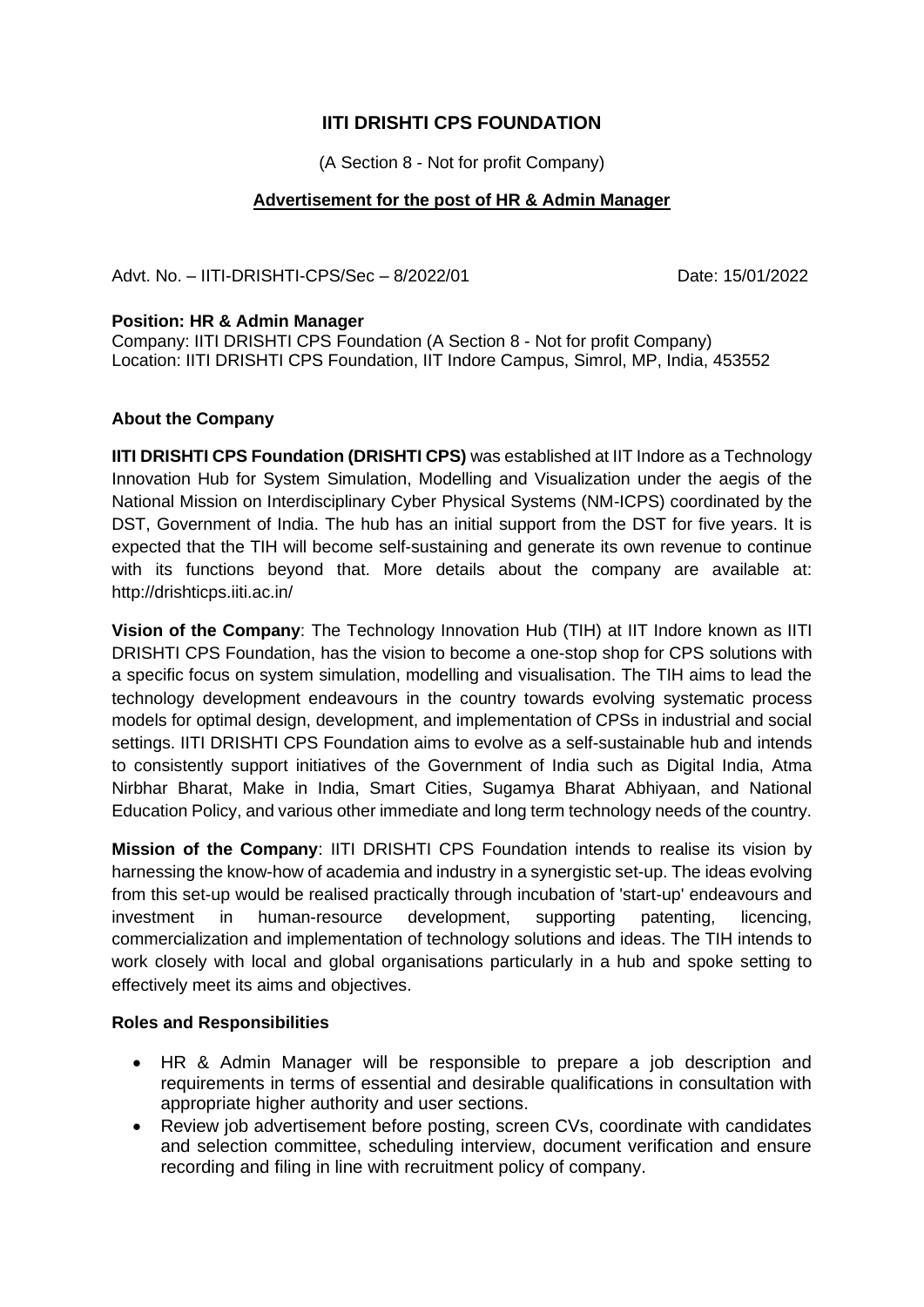# **IITI DRISHTI CPS FOUNDATION**

(A Section 8 - Not for profit Company)

### **Advertisement for the post of HR & Admin Manager**

Advt. No. - IITI-DRISHTI-CPS/Sec - 8/2022/01 Date: 15/01/2022

#### **Position: HR & Admin Manager**

Company: IITI DRISHTI CPS Foundation (A Section 8 - Not for profit Company) Location: IITI DRISHTI CPS Foundation, IIT Indore Campus, Simrol, MP, India, 453552

### **About the Company**

**IITI DRISHTI CPS Foundation (DRISHTI CPS)** was established at IIT Indore as a Technology Innovation Hub for System Simulation, Modelling and Visualization under the aegis of the National Mission on Interdisciplinary Cyber Physical Systems (NM-ICPS) coordinated by the DST, Government of India. The hub has an initial support from the DST for five years. It is expected that the TIH will become self-sustaining and generate its own revenue to continue with its functions beyond that. More details about the company are available at: http://drishticps.iiti.ac.in/

**Vision of the Company**: The Technology Innovation Hub (TIH) at IIT Indore known as IITI DRISHTI CPS Foundation, has the vision to become a one-stop shop for CPS solutions with a specific focus on system simulation, modelling and visualisation. The TIH aims to lead the technology development endeavours in the country towards evolving systematic process models for optimal design, development, and implementation of CPSs in industrial and social settings. IITI DRISHTI CPS Foundation aims to evolve as a self-sustainable hub and intends to consistently support initiatives of the Government of India such as Digital India, Atma Nirbhar Bharat, Make in India, Smart Cities, Sugamya Bharat Abhiyaan, and National Education Policy, and various other immediate and long term technology needs of the country.

**Mission of the Company**: IITI DRISHTI CPS Foundation intends to realise its vision by harnessing the know-how of academia and industry in a synergistic set-up. The ideas evolving from this set-up would be realised practically through incubation of 'start-up' endeavours and investment in human-resource development, supporting patenting, licencing, commercialization and implementation of technology solutions and ideas. The TIH intends to work closely with local and global organisations particularly in a hub and spoke setting to effectively meet its aims and objectives.

### **Roles and Responsibilities**

- HR & Admin Manager will be responsible to prepare a job description and requirements in terms of essential and desirable qualifications in consultation with appropriate higher authority and user sections.
- Review job advertisement before posting, screen CVs, coordinate with candidates and selection committee, scheduling interview, document verification and ensure recording and filing in line with recruitment policy of company.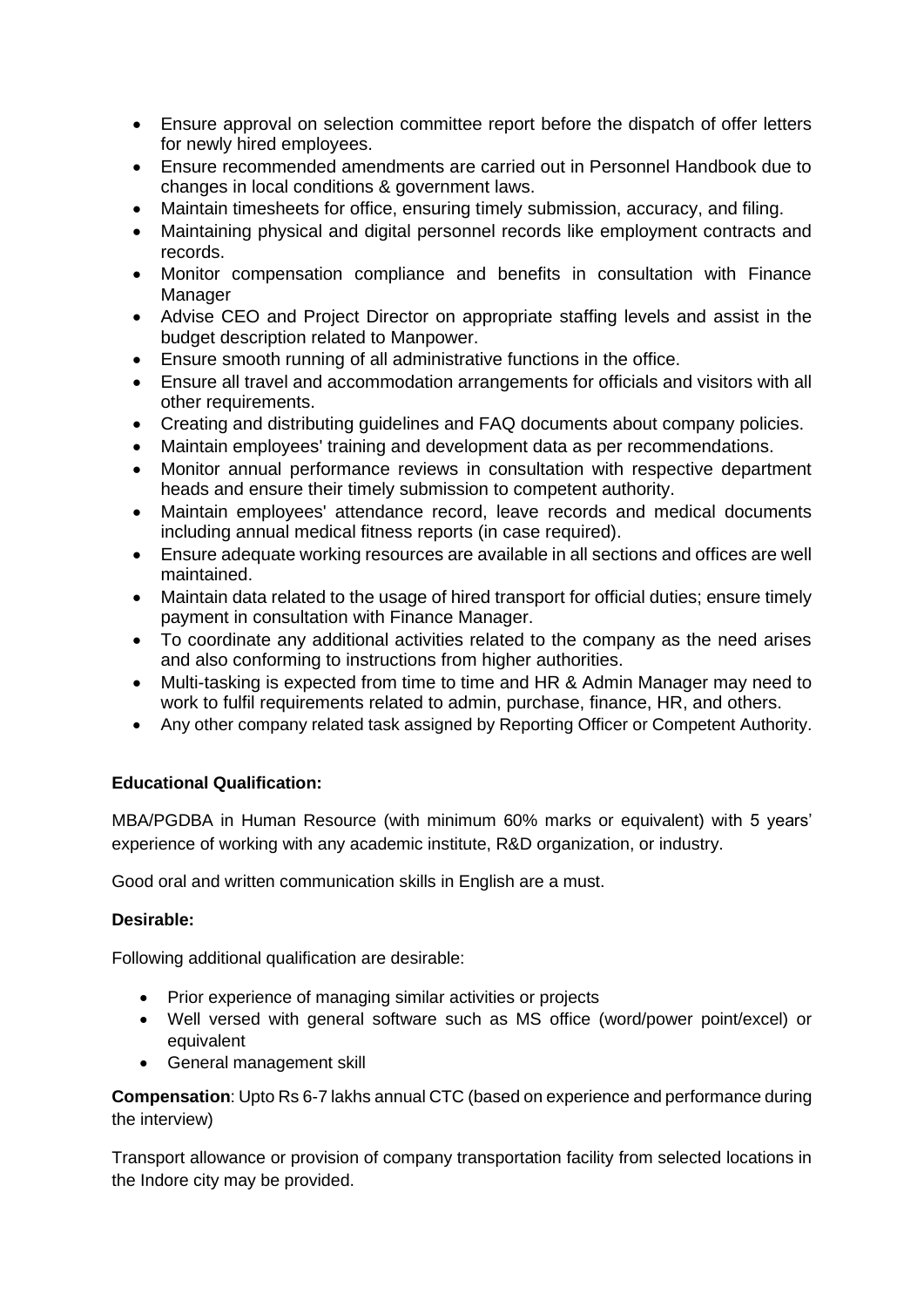- Ensure approval on selection committee report before the dispatch of offer letters for newly hired employees.
- Ensure recommended amendments are carried out in Personnel Handbook due to changes in local conditions & government laws.
- Maintain timesheets for office, ensuring timely submission, accuracy, and filing.
- Maintaining physical and digital personnel records like employment contracts and records.
- Monitor compensation compliance and benefits in consultation with Finance Manager
- Advise CEO and Project Director on appropriate staffing levels and assist in the budget description related to Manpower.
- Ensure smooth running of all administrative functions in the office.
- Ensure all travel and accommodation arrangements for officials and visitors with all other requirements.
- Creating and distributing guidelines and FAQ documents about company policies.
- Maintain employees' training and development data as per recommendations.
- Monitor annual performance reviews in consultation with respective department heads and ensure their timely submission to competent authority.
- Maintain employees' attendance record, leave records and medical documents including annual medical fitness reports (in case required).
- Ensure adequate working resources are available in all sections and offices are well maintained.
- Maintain data related to the usage of hired transport for official duties; ensure timely payment in consultation with Finance Manager.
- To coordinate any additional activities related to the company as the need arises and also conforming to instructions from higher authorities.
- Multi-tasking is expected from time to time and HR & Admin Manager may need to work to fulfil requirements related to admin, purchase, finance, HR, and others.
- Any other company related task assigned by Reporting Officer or Competent Authority.

## **Educational Qualification:**

MBA/PGDBA in Human Resource (with minimum 60% marks or equivalent) with 5 years' experience of working with any academic institute, R&D organization, or industry.

Good oral and written communication skills in English are a must.

### **Desirable:**

Following additional qualification are desirable:

- Prior experience of managing similar activities or projects
- Well versed with general software such as MS office (word/power point/excel) or equivalent
- General management skill

**Compensation**: Upto Rs 6-7 lakhs annual CTC (based on experience and performance during the interview)

Transport allowance or provision of company transportation facility from selected locations in the Indore city may be provided.